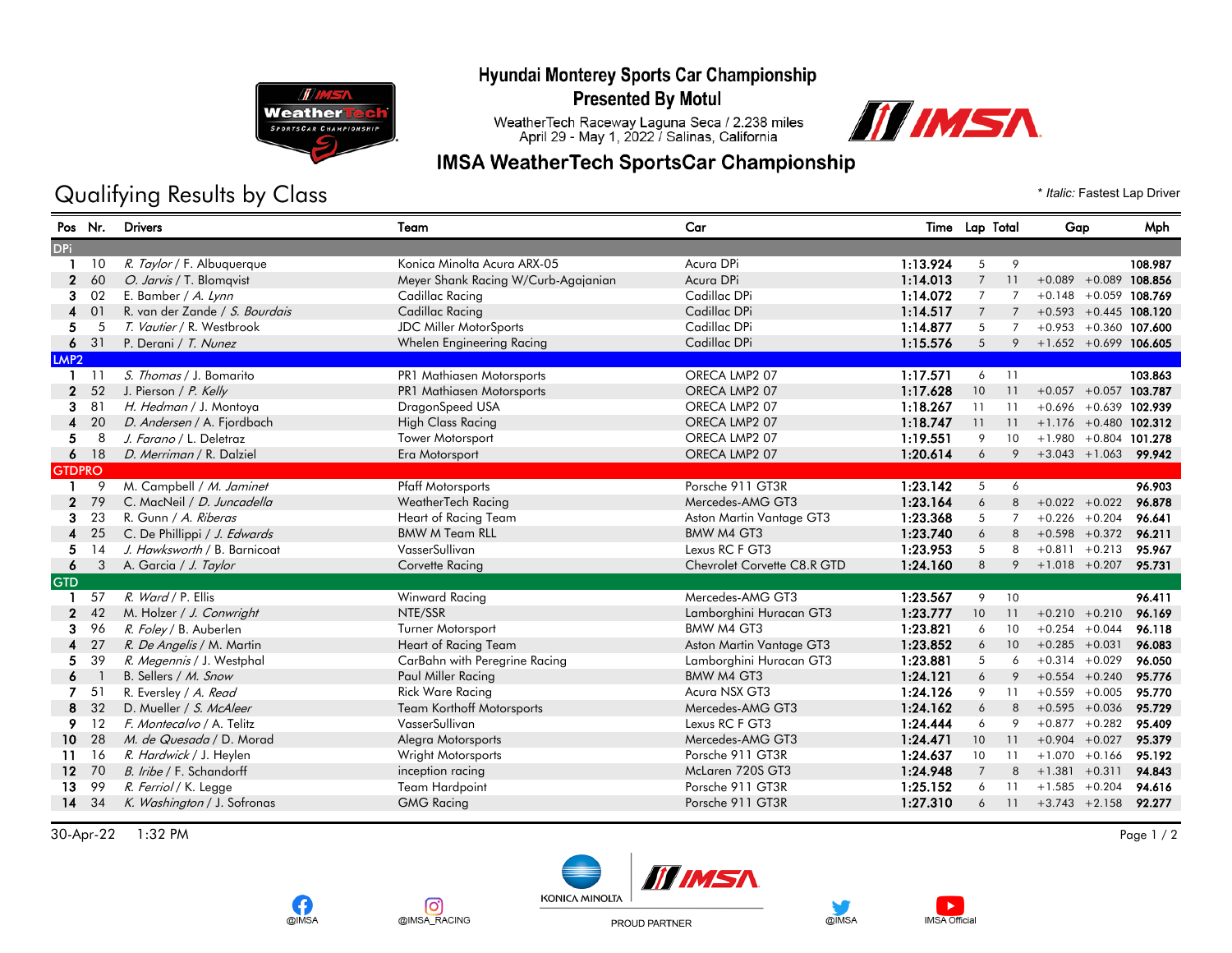## Hyundai Monterey Sports Car Championship **Presented By Motul**



**OIMSA** 

രി

@IMSA\_RACING

## Qualifying Results by Class  $\bullet$  *Italic: Fastest Lap Driver*

WeatherTech Raceway Laguna Seca / 2.238 miles<br>April 29 - May 1, 2022 / Salinas, California

**IMSA WeatherTech SportsCar Championship** 



| Pos Nr.          |     | <b>Drivers</b>                 | Team                                | Car                         |          | Time Lap Total |    | Gap                      | Mph     |
|------------------|-----|--------------------------------|-------------------------------------|-----------------------------|----------|----------------|----|--------------------------|---------|
| <b>DPi</b>       |     |                                |                                     |                             |          |                |    |                          |         |
|                  | 10  | R. Taylor / F. Albuquerque     | Konica Minolta Acura ARX-05         | Acura DPi                   | 1:13.924 | 5              | 9  |                          | 108.987 |
| $\mathbf{2}$     | 60  | O. Jarvis / T. Blomqvist       | Meyer Shank Racing W/Curb-Agajanian | Acura DPi                   | 1:14.013 | $\overline{7}$ | 11 | $+0.089 + 0.089$ 108.856 |         |
| 3                | 02  | E. Bamber / A. Lynn            | Cadillac Racing                     | Cadillac DPi                | 1:14.072 | 7              | 7  | $+0.148 + 0.059$ 108.769 |         |
| $\overline{4}$   | 01  | R. van der Zande / S. Bourdais | <b>Cadillac Racing</b>              | Cadillac DPi                | 1:14.517 | $\overline{7}$ |    | $+0.593 + 0.445$ 108.120 |         |
| 5                | 5   | T. Vautier / R. Westbrook      | <b>JDC Miller MotorSports</b>       | Cadillac DPi                | 1:14.877 | 5              | 7  | $+0.953 + 0.360$ 107.600 |         |
| 6                | 31  | P. Derani / T. Nunez           | Whelen Engineering Racing           | Cadillac DPi                | 1:15.576 | 5              | 9  | $+1.652 + 0.699$ 106.605 |         |
| LMP <sub>2</sub> |     |                                |                                     |                             |          |                |    |                          |         |
|                  | -11 | S. Thomas / J. Bomarito        | PR1 Mathiasen Motorsports           | ORECA LMP2 07               | 1:17.571 | 6              | 11 |                          | 103.863 |
| $\mathbf{2}$     | 52  | J. Pierson / P. Kelly          | PR1 Mathiasen Motorsports           | ORECA LMP2 07               | 1:17.628 | 10             | 11 | $+0.057 + 0.057$ 103.787 |         |
| 3                | 81  | H. Hedman / J. Montoya         | DragonSpeed USA                     | ORECA LMP2 07               | 1:18.267 | 11             | 11 | $+0.696 + 0.639$ 102.939 |         |
| 4                | 20  | D. Andersen / A. Fjordbach     | <b>High Class Racing</b>            | ORECA LMP2 07               | 1:18.747 | 11             | 11 | $+1.176 + 0.480$ 102.312 |         |
| 5.               | 8   | J. Farano / L. Deletraz        | Tower Motorsport                    | ORECA LMP2 07               | 1:19.551 | 9              | 10 | $+1.980 + 0.804$ 101.278 |         |
| 6                | 18  | D. Merriman / R. Dalziel       | Era Motorsport                      | ORECA LMP2 07               | 1:20.614 |                | 9  | $+3.043 + 1.063$ 99.942  |         |
| <b>GTDPRO</b>    |     |                                |                                     |                             |          |                |    |                          |         |
|                  | 9   | M. Campbell / M. Jaminet       | <b>Pfaff Motorsports</b>            | Porsche 911 GT3R            | 1:23.142 | 5              | 6  |                          | 96.903  |
| $\mathbf{2}$     | 79  | C. MacNeil / D. Juncadella     | WeatherTech Racing                  | Mercedes-AMG GT3            | 1:23.164 | 6              | 8  | $+0.022 + 0.022$         | 96.878  |
| 3                | 23  | R. Gunn / A. Riberas           | Heart of Racing Team                | Aston Martin Vantage GT3    | 1:23.368 | 5              | 7  | $+0.226 + 0.204$         | 96.641  |
| 4                | 25  | C. De Phillippi / J. Edwards   | <b>BMW M Team RLL</b>               | BMW M4 GT3                  | 1:23.740 | 6              | 8  | $+0.598 + 0.372$         | 96.211  |
| 5.               | 14  | J. Hawksworth / B. Barnicoat   | VasserSullivan                      | Lexus RC F GT3              | 1:23.953 | 5              | 8  | $+0.811 + 0.213$         | 95.967  |
| 6                | 3   | A. Garcia / J. Taylor          | Corvette Racing                     | Chevrolet Corvette C8.R GTD | 1:24.160 | 8              | 9  | $+1.018 + 0.207$         | 95.731  |
| <b>GTD</b>       |     |                                |                                     |                             |          |                |    |                          |         |
|                  | 57  | R. Ward / P. Ellis             | Winward Racing                      | Mercedes-AMG GT3            | 1:23.567 | 9              | 10 |                          | 96.411  |
| $\mathbf{2}$     | 42  | M. Holzer / J. Conwright       | NTE/SSR                             | Lamborghini Huracan GT3     | 1:23.777 | 10             | 11 | $+0.210 + 0.210$         | 96.169  |
| 3                | 96  | R. Foley / B. Auberlen         | Turner Motorsport                   | BMW M4 GT3                  | 1:23.821 | 6              | 10 | $+0.254 + 0.044$         | 96.118  |
| 4                | 27  | R. De Angelis / M. Martin      | Heart of Racing Team                | Aston Martin Vantage GT3    | 1:23.852 | 6              | 10 | $+0.285 +0.031$          | 96.083  |
| 5.               | 39  | R. Megennis / J. Westphal      | CarBahn with Peregrine Racing       | Lamborghini Huracan GT3     | 1:23.881 | 5              | 6  | $+0.314 + 0.029$         | 96.050  |
| 6                |     | B. Sellers / M. Snow           | Paul Miller Racing                  | BMW M4 GT3                  | 1:24.121 | 6              | 9  | $+0.554 + 0.240$         | 95.776  |
| 7                | 51  | R. Eversley / A. Read          | <b>Rick Ware Racing</b>             | Acura NSX GT3               | 1:24.126 | 9              | 11 | $+0.559 + 0.005$         | 95.770  |
| 8                | 32  | D. Mueller / S. McAleer        | <b>Team Korthoff Motorsports</b>    | Mercedes-AMG GT3            | 1:24.162 | 6              | 8  | $+0.595 + 0.036$         | 95.729  |
| 9                | 12  | F. Montecalvo / A. Telitz      | VasserSullivan                      | Lexus RC F GT3              | 1:24.444 | 6              | 9  | $+0.877 +0.282$          | 95.409  |
| 10               | 28  | M. de Quesada / D. Morad       | Alegra Motorsports                  | Mercedes-AMG GT3            | 1:24.471 | 10             | 11 | $+0.904 +0.027$          | 95.379  |
| 11               | 16  | R. Hardwick / J. Heylen        | Wright Motorsports                  | Porsche 911 GT3R            | 1:24.637 | 10             | 11 | $+1.070 + 0.166$         | 95.192  |
| 12 <sup>12</sup> | 70  | B. Iribe / F. Schandorff       | inception racing                    | McLaren 720S GT3            | 1:24.948 | $\overline{7}$ | 8  | $+1.381 +0.311$          | 94.843  |
| 13               | 99  | R. Ferriol / K. Legge          | <b>Team Hardpoint</b>               | Porsche 911 GT3R            | 1:25.152 | 6              |    | $+1.585 +0.204$          | 94.616  |
| 14               | 34  | K. Washington / J. Sofronas    | <b>GMG Racing</b>                   | Porsche 911 GT3R            | 1:27.310 | 6              | 11 | $+3.743$ $+2.158$        | 92.277  |
|                  |     |                                |                                     |                             |          |                |    |                          |         |

30-Apr-22 1:32 PM Page 1 / 2